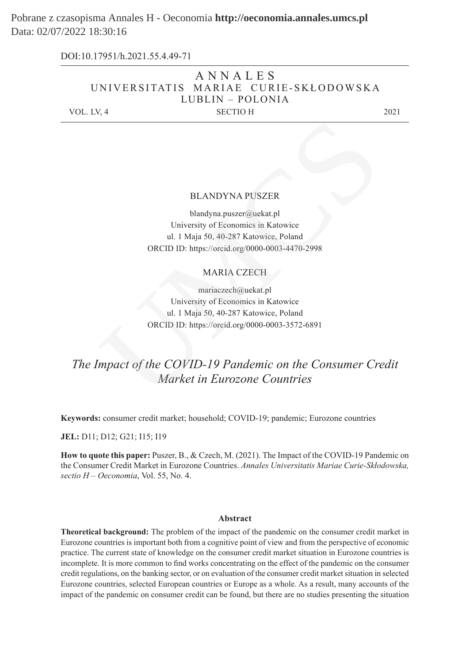# Pobrane z czasopisma Annales H - Oeconomia **http://oeconomia.annales.umcs.pl** Data: 02/07/2022 18:30:16

|            | DOI:10.17951/h.2021.55.4.49-71        |      |
|------------|---------------------------------------|------|
|            | ANNALES                               |      |
|            | UNIVERSITATIS MARIAE CURIE-SKŁODOWSKA |      |
|            | LUBLIN – POLONIA                      |      |
| VOL. LV, 4 | <b>SECTIO H</b>                       | 2021 |
|            |                                       |      |

#### BLANDYNA PUSZER

blandyna.puszer@uekat.pl University of Economics in Katowice ul. 1 Maja 50, 40-287 Katowice, Poland ORCID ID: https://orcid.org/0000-0003-4470-2998 BLANDYNA PUSZER<br>
blandyna puszer@uekat.pl<br>
University of Economics in Katolvice<br>
ul. 1 Maja 50, 40-287 Katowice, Poland<br>
ORCID ID: https://orcid.org/0000-0003-4470-2998<br>
MARIA CZECH<br>
mariaczech@uekat.pl<br>
University of Econ

# MARIA CZECH

mariaczech@uekat.pl University of Economics in Katowice ul. 1 Maja 50, 40-287 Katowice, Poland ORCID ID: https://orcid.org/0000-0003-3572-6891

# *The Impact of the COVID-19 Pandemic on the Consumer Credit Market in Eurozone Countries*

**Keywords:** consumer credit market; household; COVID-19; pandemic; Eurozone countries

**JEL:** D11; D12; G21; I15; I19

**How to quote this paper:** Puszer, B., & Czech, M. (2021). The Impact of the COVID-19 Pandemic on the Consumer Credit Market in Eurozone Countries. *Annales Universitatis Mariae Curie-Skłodowska, sectio H – Oeconomia*, Vol. 55, No. 4.

#### **Abstract**

**Theoretical background:** The problem of the impact of the pandemic on the consumer credit market in Eurozone countries is important both from a cognitive point of view and from the perspective of economic practice. The current state of knowledge on the consumer credit market situation in Eurozone countries is incomplete. It is more common to find works concentrating on the effect of the pandemic on the consumer credit regulations, on the banking sector, or on evaluation of the consumer credit market situation in selected Eurozone countries, selected European countries or Europe as a whole. As a result, many accounts of the impact of the pandemic on consumer credit can be found, but there are no studies presenting the situation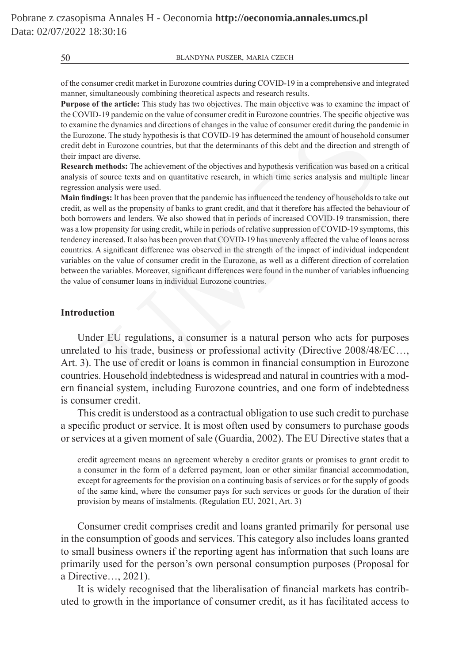of the consumer credit market in Eurozone countries during COVID-19 in a comprehensive and integrated manner, simultaneously combining theoretical aspects and research results.

**Purpose of the article:** This study has two objectives. The main objective was to examine the impact of the COVID-19 pandemic on the value of consumer credit in Eurozone countries. The specific objective was to examine the dynamics and directions of changes in the value of consumer credit during the pandemic in the Eurozone. The study hypothesis is that COVID-19 has determined the amount of household consumer credit debt in Eurozone countries, but that the determinants of this debt and the direction and strength of their impact are diverse.

**Research methods:** The achievement of the objectives and hypothesis verification was based on a critical analysis of source texts and on quantitative research, in which time series analysis and multiple linear regression analysis were used.

**Main findings:** It has been proven that the pandemic has influenced the tendency of households to take out credit, as well as the propensity of banks to grant credit, and that it therefore has affected the behaviour of both borrowers and lenders. We also showed that in periods of increased COVID-19 transmission, there was a low propensity for using credit, while in periods of relative suppression of COVID-19 symptoms, this tendency increased. It also has been proven that COVID-19 has unevenly affected the value of loans across countries. A significant difference was observed in the strength of the impact of individual independent variables on the value of consumer credit in the Eurozone, as well as a different direction of correlation between the variables. Moreover, significant differences were found in the number of variables influencing the value of consumer loans in individual Eurozone countries. the dynamics and directions of changes in the value of consumer credit during the pan<br>
in Eurozone countries, but that the determinants of this debt and the direction and st<br>
in Eurozone countries, but that the determinant

# **Introduction**

Under EU regulations, a consumer is a natural person who acts for purposes unrelated to his trade, business or professional activity (Directive 2008/48/EC…, Art. 3). The use of credit or loans is common in financial consumption in Eurozone countries. Household indebtedness is widespread and natural in countries with a modern financial system, including Eurozone countries, and one form of indebtedness is consumer credit.

This credit is understood as a contractual obligation to use such credit to purchase a specific product or service. It is most often used by consumers to purchase goods or services at a given moment of sale (Guardia, 2002). The EU Directive states that a

credit agreement means an agreement whereby a creditor grants or promises to grant credit to a consumer in the form of a deferred payment, loan or other similar financial accommodation, except for agreements for the provision on a continuing basis of services or for the supply of goods of the same kind, where the consumer pays for such services or goods for the duration of their provision by means of instalments. (Regulation EU, 2021, Art. 3)

Consumer credit comprises credit and loans granted primarily for personal use in the consumption of goods and services. This category also includes loans granted to small business owners if the reporting agent has information that such loans are primarily used for the person's own personal consumption purposes (Proposal for a Directive…, 2021).

It is widely recognised that the liberalisation of financial markets has contributed to growth in the importance of consumer credit, as it has facilitated access to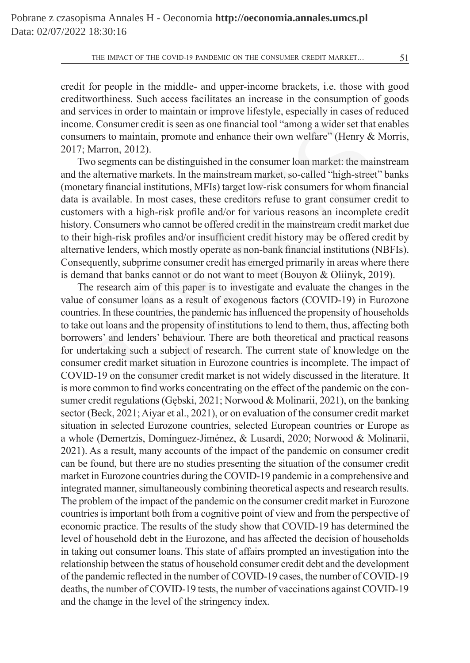credit for people in the middle- and upper-income brackets, i.e. those with good creditworthiness. Such access facilitates an increase in the consumption of goods and services in order to maintain or improve lifestyle, especially in cases of reduced income. Consumer credit is seen as one financial tool "among a wider set that enables consumers to maintain, promote and enhance their own welfare" (Henry & Morris, 2017; Marron, 2012).

Two segments can be distinguished in the consumer loan market: the mainstream and the alternative markets. In the mainstream market, so-called "high-street" banks (monetary financial institutions, MFIs) target low-risk consumers for whom financial data is available. In most cases, these creditors refuse to grant consumer credit to customers with a high-risk profile and/or for various reasons an incomplete credit history. Consumers who cannot be offered credit in the mainstream credit market due to their high-risk profiles and/or insufficient credit history may be offered credit by alternative lenders, which mostly operate as non-bank financial institutions (NBFIs). Consequently, subprime consumer credit has emerged primarily in areas where there is demand that banks cannot or do not want to meet (Bouyon & Oliinyk, 2019). Consumer credit is seen as one financial tool "among a wider set that exers to maintain, promote and enhance their own welfare" (Henry & 1<br>arron, 2012).<br>Surron, 2012).<br>Surron, 2012).<br>Hernative markets. In the mainstream m

The research aim of this paper is to investigate and evaluate the changes in the value of consumer loans as a result of exogenous factors (COVID-19) in Eurozone countries. In these countries, the pandemic has influenced the propensity of households to take out loans and the propensity of institutions to lend to them, thus, affecting both borrowers' and lenders' behaviour. There are both theoretical and practical reasons for undertaking such a subject of research. The current state of knowledge on the consumer credit market situation in Eurozone countries is incomplete. The impact of COVID-19 on the consumer credit market is not widely discussed in the literature. It is more common to find works concentrating on the effect of the pandemic on the consumer credit regulations (Gębski, 2021; Norwood & Molinarii, 2021), on the banking sector (Beck, 2021; Aiyar et al., 2021), or on evaluation of the consumer credit market situation in selected Eurozone countries, selected European countries or Europe as a whole (Demertzis, Domínguez-Jiménez, & Lusardi, 2020; Norwood & Molinarii, 2021). As a result, many accounts of the impact of the pandemic on consumer credit can be found, but there are no studies presenting the situation of the consumer credit market in Eurozone countries during the COVID-19 pandemic in a comprehensive and integrated manner, simultaneously combining theoretical aspects and research results. The problem of the impact of the pandemic on the consumer credit market in Eurozone countries is important both from a cognitive point of view and from the perspective of economic practice. The results of the study show that COVID-19 has determined the level of household debt in the Eurozone, and has affected the decision of households in taking out consumer loans. This state of affairs prompted an investigation into the relationship between the status of household consumer credit debt and the development of the pandemic reflected in the number of COVID-19 cases, the number of COVID-19 deaths, the number of COVID-19 tests, the number of vaccinations against COVID-19 and the change in the level of the stringency index.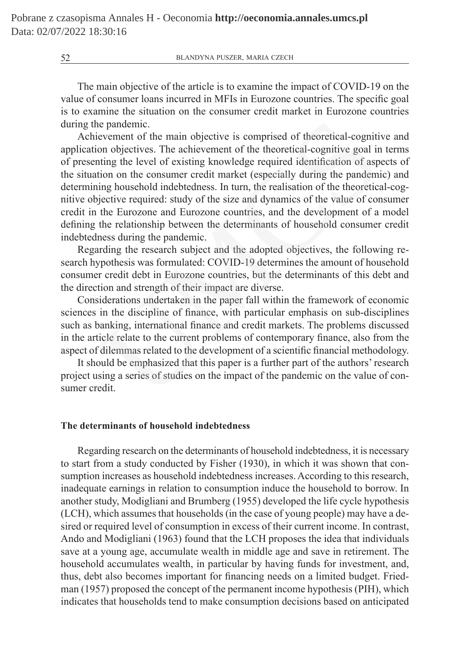The main objective of the article is to examine the impact of COVID-19 on the value of consumer loans incurred in MFIs in Eurozone countries. The specific goal is to examine the situation on the consumer credit market in Eurozone countries during the pandemic.

Achievement of the main objective is comprised of theoretical-cognitive and application objectives. The achievement of the theoretical-cognitive goal in terms of presenting the level of existing knowledge required identification of aspects of the situation on the consumer credit market (especially during the pandemic) and determining household indebtedness. In turn, the realisation of the theoretical-cognitive objective required: study of the size and dynamics of the value of consumer credit in the Eurozone and Eurozone countries, and the development of a model defining the relationship between the determinants of household consumer credit indebtedness during the pandemic. ie pandemic.<br>
evement of the main objective is comprised of theoretical-cognitive<br>
evement of the main objectives. The achievement of the theoretical-cognitive goal in<br>
thing the level of existing knowledge required identi

Regarding the research subject and the adopted objectives, the following research hypothesis was formulated: COVID-19 determines the amount of household consumer credit debt in Eurozone countries, but the determinants of this debt and the direction and strength of their impact are diverse.

Considerations undertaken in the paper fall within the framework of economic sciences in the discipline of finance, with particular emphasis on sub-disciplines such as banking, international finance and credit markets. The problems discussed in the article relate to the current problems of contemporary finance, also from the aspect of dilemmas related to the development of a scientific financial methodology.

It should be emphasized that this paper is a further part of the authors' research project using a series of studies on the impact of the pandemic on the value of consumer credit.

# **The determinants of household indebtedness**

Regarding research on the determinants of household indebtedness, it is necessary to start from a study conducted by Fisher (1930), in which it was shown that consumption increases as household indebtedness increases. According to this research, inadequate earnings in relation to consumption induce the household to borrow. In another study, Modigliani and Brumberg (1955) developed the life cycle hypothesis (LCH), which assumes that households (in the case of young people) may have a desired or required level of consumption in excess of their current income. In contrast, Ando and Modigliani (1963) found that the LCH proposes the idea that individuals save at a young age, accumulate wealth in middle age and save in retirement. The household accumulates wealth, in particular by having funds for investment, and, thus, debt also becomes important for financing needs on a limited budget. Friedman (1957) proposed the concept of the permanent income hypothesis (PIH), which indicates that households tend to make consumption decisions based on anticipated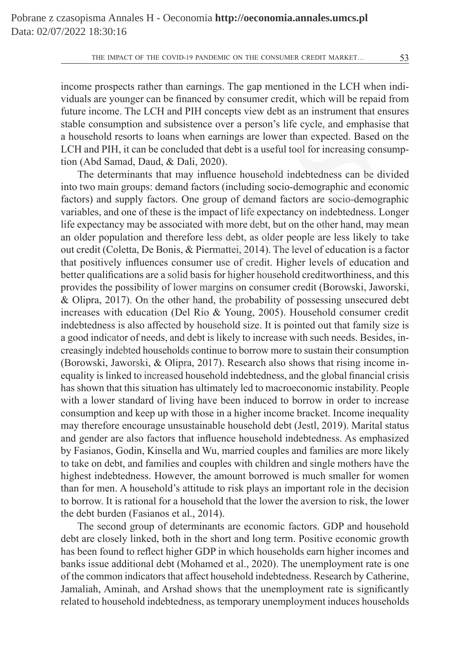income prospects rather than earnings. The gap mentioned in the LCH when individuals are younger can be financed by consumer credit, which will be repaid from future income. The LCH and PIH concepts view debt as an instrument that ensures stable consumption and subsistence over a person's life cycle, and emphasise that a household resorts to loans when earnings are lower than expected. Based on the LCH and PIH, it can be concluded that debt is a useful tool for increasing consumption (Abd Samad, Daud, & Dali, 2020).

The determinants that may influence household indebtedness can be divided into two main groups: demand factors (including socio-demographic and economic factors) and supply factors. One group of demand factors are socio-demographic variables, and one of these is the impact of life expectancy on indebtedness. Longer life expectancy may be associated with more debt, but on the other hand, may mean an older population and therefore less debt, as older people are less likely to take out credit (Coletta, De Bonis, & Piermattei, 2014). The level of education is a factor that positively influences consumer use of credit. Higher levels of education and better qualifications are a solid basis for higher household creditworthiness, and this provides the possibility of lower margins on consumer credit (Borowski, Jaworski, & Olipra, 2017). On the other hand, the probability of possessing unsecured debt increases with education (Del Rio & Young, 2005). Household consumer credit indebtedness is also affected by household size. It is pointed out that family size is a good indicator of needs, and debt is likely to increase with such needs. Besides, increasingly indebted households continue to borrow more to sustain their consumption (Borowski, Jaworski, & Olipra, 2017). Research also shows that rising income inequality is linked to increased household indebtedness, and the global financial crisis has shown that this situation has ultimately led to macroeconomic instability. People with a lower standard of living have been induced to borrow in order to increase consumption and keep up with those in a higher income bracket. Income inequality may therefore encourage unsustainable household debt (Jestl, 2019). Marital status and gender are also factors that influence household indebtedness. As emphasized by Fasianos, Godin, Kinsella and Wu, married couples and families are more likely to take on debt, and families and couples with children and single mothers have the highest indebtedness. However, the amount borrowed is much smaller for women than for men. A household's attitude to risk plays an important role in the decision to borrow. It is rational for a household that the lower the aversion to risk, the lower the debt burden (Fasianos et al., 2014). msumption and subsistence over a person's life cycle, and emphasiold resorts to loans when earnings are lower than expected. Based PHH, it can be concluded that debt is a useful tool for increasing cordet and,  $\Delta$  Samad,

The second group of determinants are economic factors. GDP and household debt are closely linked, both in the short and long term. Positive economic growth has been found to reflect higher GDP in which households earn higher incomes and banks issue additional debt (Mohamed et al., 2020). The unemployment rate is one of the common indicators that affect household indebtedness. Research by Catherine, Jamaliah, Aminah, and Arshad shows that the unemployment rate is significantly related to household indebtedness, as temporary unemployment induces households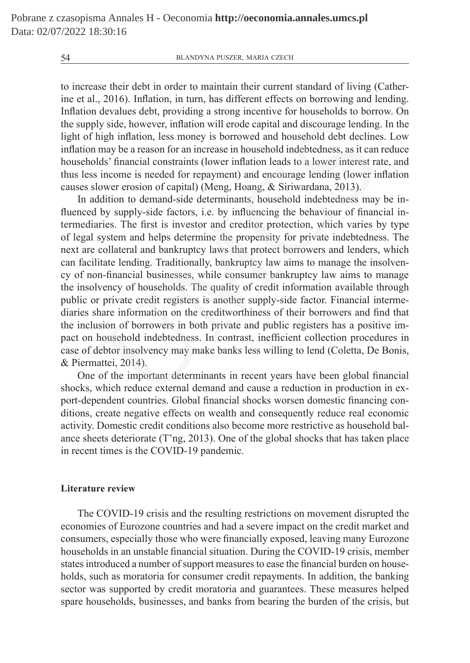to increase their debt in order to maintain their current standard of living (Catherine et al., 2016). Inflation, in turn, has different effects on borrowing and lending. Inflation devalues debt, providing a strong incentive for households to borrow. On the supply side, however, inflation will erode capital and discourage lending. In the light of high inflation, less money is borrowed and household debt declines. Low inflation may be a reason for an increase in household indebtedness, as it can reduce households' financial constraints (lower inflation leads to a lower interest rate, and thus less income is needed for repayment) and encourage lending (lower inflation causes slower erosion of capital) (Meng, Hoang, & Siriwardana, 2013).

In addition to demand-side determinants, household indebtedness may be influenced by supply-side factors, i.e. by influencing the behaviour of financial intermediaries. The first is investor and creditor protection, which varies by type of legal system and helps determine the propensity for private indebtedness. The next are collateral and bankruptcy laws that protect borrowers and lenders, which can facilitate lending. Traditionally, bankruptcy law aims to manage the insolvency of non-financial businesses, while consumer bankruptcy law aims to manage the insolvency of households. The quality of credit information available through public or private credit registers is another supply-side factor. Financial intermediaries share information on the creditworthiness of their borrowers and find that the inclusion of borrowers in both private and public registers has a positive impact on household indebtedness. In contrast, inefficient collection procedures in case of debtor insolvency may make banks less willing to lend (Coletta, De Bonis, & Piermattei, 2014). ly side, however, inflation will erode capital and discourage lending<br>tigh inflation, less money is borrowed and household debt declines<br>my be a reason for an increase in household indebtedness, as it can<br>these innaction l

One of the important determinants in recent years have been global financial shocks, which reduce external demand and cause a reduction in production in export-dependent countries. Global financial shocks worsen domestic financing conditions, create negative effects on wealth and consequently reduce real economic activity. Domestic credit conditions also become more restrictive as household balance sheets deteriorate (T'ng, 2013). One of the global shocks that has taken place in recent times is the COVID-19 pandemic.

# **Literature review**

The COVID-19 crisis and the resulting restrictions on movement disrupted the economies of Eurozone countries and had a severe impact on the credit market and consumers, especially those who were financially exposed, leaving many Eurozone households in an unstable financial situation. During the COVID-19 crisis, member states introduced a number of support measures to ease the financial burden on households, such as moratoria for consumer credit repayments. In addition, the banking sector was supported by credit moratoria and guarantees. These measures helped spare households, businesses, and banks from bearing the burden of the crisis, but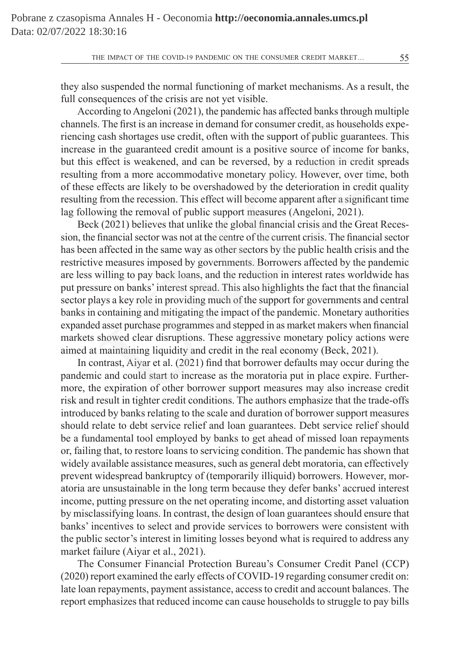THE IMPACT OF THE COVID-19 PANDEMIC ON THE CONSUMER CREDIT MARKET... 55

they also suspended the normal functioning of market mechanisms. As a result, the full consequences of the crisis are not yet visible.

According to Angeloni (2021), the pandemic has affected banks through multiple channels. The first is an increase in demand for consumer credit, as households experiencing cash shortages use credit, often with the support of public guarantees. This increase in the guaranteed credit amount is a positive source of income for banks, but this effect is weakened, and can be reversed, by a reduction in credit spreads resulting from a more accommodative monetary policy. However, over time, both of these effects are likely to be overshadowed by the deterioration in credit quality resulting from the recession. This effect will become apparent after a significant time lag following the removal of public support measures (Angeloni, 2021).

Beck (2021) believes that unlike the global financial crisis and the Great Recession, the financial sector was not at the centre of the current crisis. The financial sector has been affected in the same way as other sectors by the public health crisis and the restrictive measures imposed by governments. Borrowers affected by the pandemic are less willing to pay back loans, and the reduction in interest rates worldwide has put pressure on banks' interest spread. This also highlights the fact that the financial sector plays a key role in providing much of the support for governments and central banks in containing and mitigating the impact of the pandemic. Monetary authorities expanded asset purchase programmes and stepped in as market makers when financial markets showed clear disruptions. These aggressive monetary policy actions were aimed at maintaining liquidity and credit in the real economy (Beck, 2021). . The first is an increase in demand for consumer credit, as household:<br>cash shortages use credit, often with the support of public guarantee<br>in the guaranteed credit amount is a positive source of income for<br>effect is we

In contrast, Aiyar et al. (2021) find that borrower defaults may occur during the pandemic and could start to increase as the moratoria put in place expire. Furthermore, the expiration of other borrower support measures may also increase credit risk and result in tighter credit conditions. The authors emphasize that the trade-offs introduced by banks relating to the scale and duration of borrower support measures should relate to debt service relief and loan guarantees. Debt service relief should be a fundamental tool employed by banks to get ahead of missed loan repayments or, failing that, to restore loans to servicing condition. The pandemic has shown that widely available assistance measures, such as general debt moratoria, can effectively prevent widespread bankruptcy of (temporarily illiquid) borrowers. However, moratoria are unsustainable in the long term because they defer banks' accrued interest income, putting pressure on the net operating income, and distorting asset valuation by misclassifying loans. In contrast, the design of loan guarantees should ensure that banks' incentives to select and provide services to borrowers were consistent with the public sector's interest in limiting losses beyond what is required to address any market failure (Aiyar et al., 2021).

The Consumer Financial Protection Bureau's Consumer Credit Panel (CCP) (2020) report examined the early effects of COVID-19 regarding consumer credit on: late loan repayments, payment assistance, access to credit and account balances. The report emphasizes that reduced income can cause households to struggle to pay bills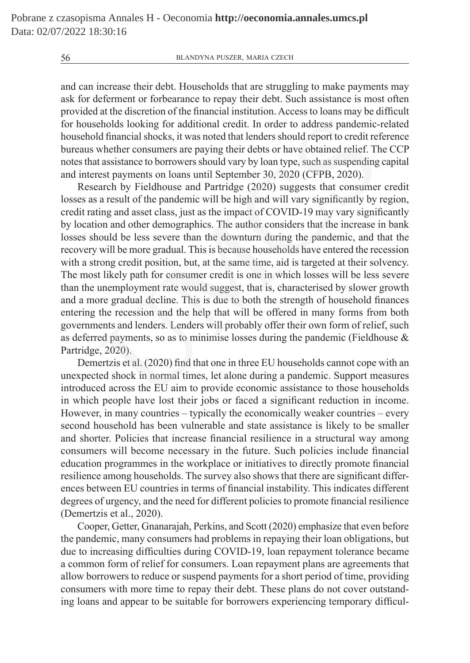and can increase their debt. Households that are struggling to make payments may ask for deferment or forbearance to repay their debt. Such assistance is most often provided at the discretion of the financial institution. Access to loans may be difficult for households looking for additional credit. In order to address pandemic-related household financial shocks, it was noted that lenders should report to credit reference bureaus whether consumers are paying their debts or have obtained relief. The CCP notes that assistance to borrowers should vary by loan type, such as suspending capital and interest payments on loans until September 30, 2020 (CFPB, 2020).

Research by Fieldhouse and Partridge (2020) suggests that consumer credit losses as a result of the pandemic will be high and will vary significantly by region, credit rating and asset class, just as the impact of COVID-19 may vary significantly by location and other demographics. The author considers that the increase in bank losses should be less severe than the downturn during the pandemic, and that the recovery will be more gradual. This is because households have entered the recession with a strong credit position, but, at the same time, aid is targeted at their solvency. The most likely path for consumer credit is one in which losses will be less severe than the unemployment rate would suggest, that is, characterised by slower growth and a more gradual decline. This is due to both the strength of household finances entering the recession and the help that will be offered in many forms from both governments and lenders. Lenders will probably offer their own form of relief, such as deferred payments, so as to minimise losses during the pandemic (Fieldhouse  $\&$ Partridge, 2020). eholds looking for additional credit. In order to address pandemic-<br>
difinancial shocks, it was noted that lenders should report to credit ret<br>
whether consumers are paying their debts or have obtained relief. The<br>
tasista

Demertzis et al. (2020) find that one in three EU households cannot cope with an unexpected shock in normal times, let alone during a pandemic. Support measures introduced across the EU aim to provide economic assistance to those households in which people have lost their jobs or faced a significant reduction in income. However, in many countries – typically the economically weaker countries – every second household has been vulnerable and state assistance is likely to be smaller and shorter. Policies that increase financial resilience in a structural way among consumers will become necessary in the future. Such policies include financial education programmes in the workplace or initiatives to directly promote financial resilience among households. The survey also shows that there are significant differences between EU countries in terms of financial instability. This indicates different degrees of urgency, and the need for different policies to promote financial resilience (Demertzis et al., 2020).

Cooper, Getter, Gnanarajah, Perkins, and Scott (2020) emphasize that even before the pandemic, many consumers had problems in repaying their loan obligations, but due to increasing difficulties during COVID-19, loan repayment tolerance became a common form of relief for consumers. Loan repayment plans are agreements that allow borrowers to reduce or suspend payments for a short period of time, providing consumers with more time to repay their debt. These plans do not cover outstanding loans and appear to be suitable for borrowers experiencing temporary difficul-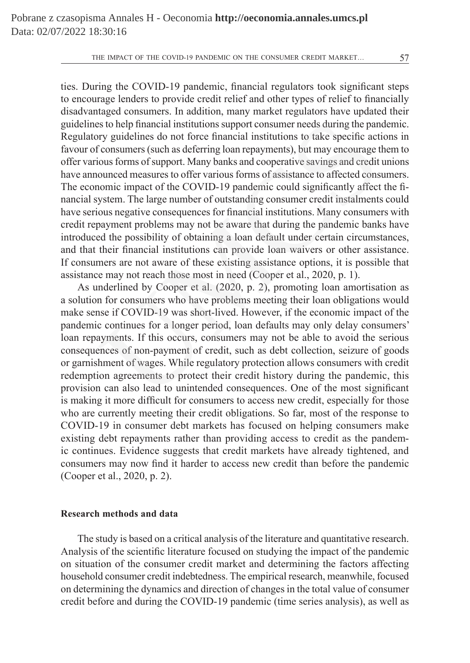THE IMPACT OF THE COVID-19 PANDEMIC ON THE CONSUMER CREDIT MARKET... 57

ties. During the COVID-19 pandemic, financial regulators took significant steps to encourage lenders to provide credit relief and other types of relief to financially disadvantaged consumers. In addition, many market regulators have updated their guidelines to help financial institutions support consumer needs during the pandemic. Regulatory guidelines do not force financial institutions to take specific actions in favour of consumers (such as deferring loan repayments), but may encourage them to offer various forms of support. Many banks and cooperative savings and credit unions have announced measures to offer various forms of assistance to affected consumers. The economic impact of the COVID-19 pandemic could significantly affect the financial system. The large number of outstanding consumer credit instalments could have serious negative consequences for financial institutions. Many consumers with credit repayment problems may not be aware that during the pandemic banks have introduced the possibility of obtaining a loan default under certain circumstances, and that their financial institutions can provide loan waivers or other assistance. If consumers are not aware of these existing assistance options, it is possible that assistance may not reach those most in need (Cooper et al., 2020, p. 1). s to help financial institutions support consumer needs during the pan<br>ory guidelines do not force financial institutions to take specific act<br>consumers (such as deferring loan repayments), but may encourage<br>out forms of s

As underlined by Cooper et al. (2020, p. 2), promoting loan amortisation as a solution for consumers who have problems meeting their loan obligations would make sense if COVID-19 was short-lived. However, if the economic impact of the pandemic continues for a longer period, loan defaults may only delay consumers' loan repayments. If this occurs, consumers may not be able to avoid the serious consequences of non-payment of credit, such as debt collection, seizure of goods or garnishment of wages. While regulatory protection allows consumers with credit redemption agreements to protect their credit history during the pandemic, this provision can also lead to unintended consequences. One of the most significant is making it more difficult for consumers to access new credit, especially for those who are currently meeting their credit obligations. So far, most of the response to COVID-19 in consumer debt markets has focused on helping consumers make existing debt repayments rather than providing access to credit as the pandemic continues. Evidence suggests that credit markets have already tightened, and consumers may now find it harder to access new credit than before the pandemic (Cooper et al., 2020, p. 2).

# **Research methods and data**

The study is based on a critical analysis of the literature and quantitative research. Analysis of the scientific literature focused on studying the impact of the pandemic on situation of the consumer credit market and determining the factors affecting household consumer credit indebtedness. The empirical research, meanwhile, focused on determining the dynamics and direction of changes in the total value of consumer credit before and during the COVID-19 pandemic (time series analysis), as well as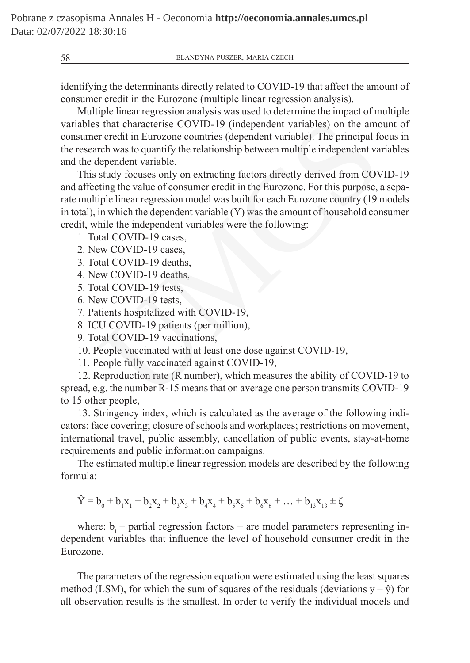identifying the determinants directly related to COVID-19 that affect the amount of consumer credit in the Eurozone (multiple linear regression analysis).

Multiple linear regression analysis was used to determine the impact of multiple variables that characterise COVID-19 (independent variables) on the amount of consumer credit in Eurozone countries (dependent variable). The principal focus in the research was to quantify the relationship between multiple independent variables and the dependent variable.

This study focuses only on extracting factors directly derived from COVID-19 and affecting the value of consumer credit in the Eurozone. For this purpose, a separate multiple linear regression model was built for each Eurozone country (19 models in total), in which the dependent variable (Y) was the amount of household consumer credit, while the independent variables were the following: s that characterise COVID-19 (independent variables) on the amove reredit in Eurozone countries (dependent variable). The principal field elependent variable.<br>
Ethe was to quantify the relationship between multiple indepen

1. Total COVID-19 cases,

- 2. New COVID-19 cases,
- 3. Total COVID-19 deaths,
- 4. New COVID-19 deaths,
- 5. Total COVID-19 tests,
- 6. New COVID-19 tests,

7. Patients hospitalized with COVID-19,

8. ICU COVID-19 patients (per million),

9. Total COVID-19 vaccinations,

10. People vaccinated with at least one dose against COVID-19,

11. People fully vaccinated against COVID-19,

12. Reproduction rate (R number), which measures the ability of COVID-19 to spread, e.g. the number R-15 means that on average one person transmits COVID-19 to 15 other people,

13. Stringency index, which is calculated as the average of the following indicators: face covering; closure of schools and workplaces; restrictions on movement, international travel, public assembly, cancellation of public events, stay-at-home requirements and public information campaigns.

The estimated multiple linear regression models are described by the following formula:

 $\dot{Y} = b_0 + b_1 X_1 + b_2 X_2 + b_3 X_3 + b_4 X_4 + b_5 X_5 + b_6 X_6 + \dots + b_{13} X_{13} \pm \zeta$ 

where:  $b_i$  – partial regression factors – are model parameters representing independent variables that influence the level of household consumer credit in the Eurozone.

The parameters of the regression equation were estimated using the least squares method (LSM), for which the sum of squares of the residuals (deviations  $y - \hat{y}$ ) for all observation results is the smallest. In order to verify the individual models and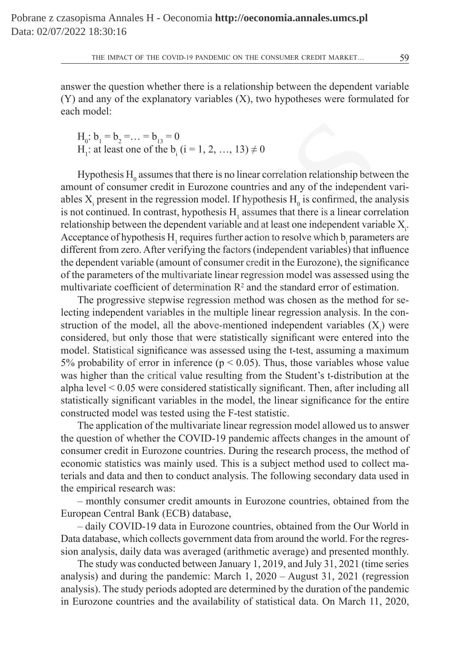answer the question whether there is a relationship between the dependent variable (Y) and any of the explanatory variables (X), two hypotheses were formulated for each model:

 $H_0: b_1 = b_2 = \ldots = b_{13} = 0$  $H_1$ : at least one of the b<sub>i</sub> (i = 1, 2, ..., 13)  $\neq 0$ 

Hypothesis  $H_0$  assumes that there is no linear correlation relationship between the amount of consumer credit in Eurozone countries and any of the independent variables  $X_i$  present in the regression model. If hypothesis  $H_0$  is confirmed, the analysis is not continued. In contrast, hypothesis  $H_1$  assumes that there is a linear correlation relationship between the dependent variable and at least one independent variable  $X_i$ . Acceptance of hypothesis  $H_1$  requires further action to resolve which  $b_i$  parameters are different from zero. After verifying the factors (independent variables) that influence the dependent variable (amount of consumer credit in the Eurozone), the significance of the parameters of the multivariate linear regression model was assessed using the multivariate coefficient of determination  $\mathbb{R}^2$  and the standard error of estimation.  $b_1 = b_2 = ... = b_{13} = 0$ <br>
t least one of the  $b_1$  (i = 1, 2, ..., 13)  $\neq 0$ <br>
of thessis H<sub>0</sub> assumes that there is no linear correlation relationship betw<br>
of consumer credit in Eurozone countries and any of the independer

The progressive stepwise regression method was chosen as the method for selecting independent variables in the multiple linear regression analysis. In the construction of the model, all the above-mentioned independent variables  $(X_i)$  were considered, but only those that were statistically significant were entered into the model. Statistical significance was assessed using the t-test, assuming a maximum 5% probability of error in inference ( $p < 0.05$ ). Thus, those variables whose value was higher than the critical value resulting from the Student's t-distribution at the alpha level < 0.05 were considered statistically significant. Then, after including all statistically significant variables in the model, the linear significance for the entire constructed model was tested using the F-test statistic.

The application of the multivariate linear regression model allowed us to answer the question of whether the COVID-19 pandemic affects changes in the amount of consumer credit in Eurozone countries. During the research process, the method of economic statistics was mainly used. This is a subject method used to collect materials and data and then to conduct analysis. The following secondary data used in the empirical research was:

– monthly consumer credit amounts in Eurozone countries, obtained from the European Central Bank (ECB) database,

– daily COVID-19 data in Eurozone countries, obtained from the Our World in Data database, which collects government data from around the world. For the regression analysis, daily data was averaged (arithmetic average) and presented monthly.

The study was conducted between January 1, 2019, and July 31, 2021 (time series analysis) and during the pandemic: March 1, 2020 – August 31, 2021 (regression analysis). The study periods adopted are determined by the duration of the pandemic in Eurozone countries and the availability of statistical data. On March 11, 2020,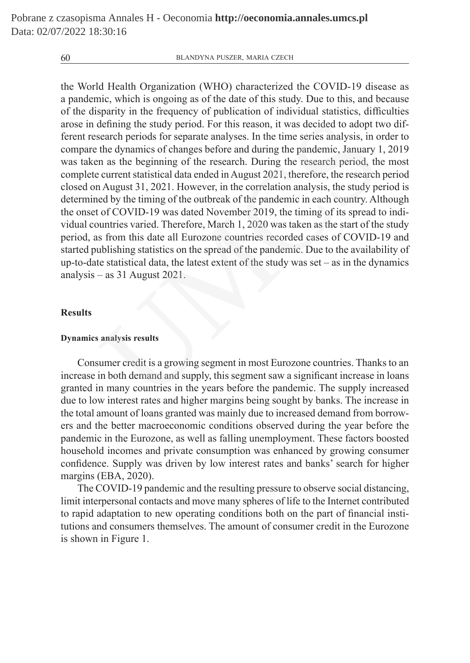the World Health Organization (WHO) characterized the COVID-19 disease as a pandemic, which is ongoing as of the date of this study. Due to this, and because of the disparity in the frequency of publication of individual statistics, difficulties arose in defining the study period. For this reason, it was decided to adopt two different research periods for separate analyses. In the time series analysis, in order to compare the dynamics of changes before and during the pandemic, January 1, 2019 was taken as the beginning of the research. During the research period, the most complete current statistical data ended in August 2021, therefore, the research period closed on August 31, 2021. However, in the correlation analysis, the study period is determined by the timing of the outbreak of the pandemic in each country. Although the onset of COVID-19 was dated November 2019, the timing of its spread to individual countries varied. Therefore, March 1, 2020 was taken as the start of the study period, as from this date all Eurozone countries recorded cases of COVID-19 and started publishing statistics on the spread of the pandemic. Due to the availability of up-to-date statistical data, the latest extent of the study was set – as in the dynamics analysis – as 31 August 2021. defining the study period. For this reason, it was decided to adopt to<br>search periods for separate analyses. In the time series analysis, in o<br>the dynamics of changes before and during the pandemic, January 1<br>n as the begi

## **Results**

## **Dynamics analysis results**

Consumer credit is a growing segment in most Eurozone countries. Thanks to an increase in both demand and supply, this segment saw a significant increase in loans granted in many countries in the years before the pandemic. The supply increased due to low interest rates and higher margins being sought by banks. The increase in the total amount of loans granted was mainly due to increased demand from borrowers and the better macroeconomic conditions observed during the year before the pandemic in the Eurozone, as well as falling unemployment. These factors boosted household incomes and private consumption was enhanced by growing consumer confidence. Supply was driven by low interest rates and banks' search for higher margins (EBA, 2020).

The COVID-19 pandemic and the resulting pressure to observe social distancing, limit interpersonal contacts and move many spheres of life to the Internet contributed to rapid adaptation to new operating conditions both on the part of financial institutions and consumers themselves. The amount of consumer credit in the Eurozone is shown in Figure 1.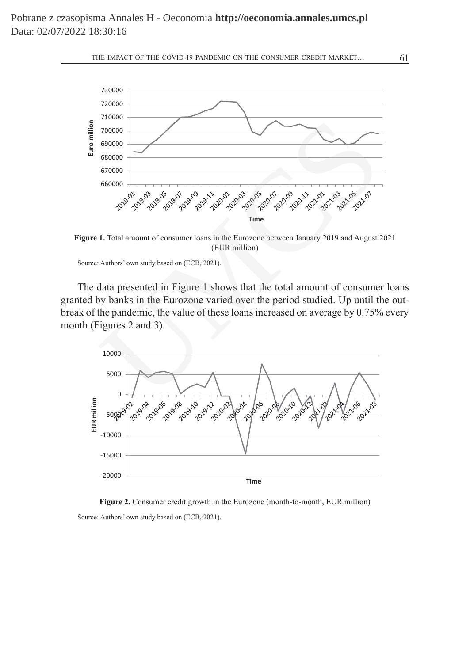



**Figure 1.** Total amount of consumer loans in the Eurozone between January 2019 and August 2021 (EUR million)

Source: Authors' own study based on (ECB, 2021).

The data presented in Figure 1 shows that the total amount of consumer loans granted by banks in the Eurozone varied over the period studied. Up until the outbreak of the pandemic, the value of these loans increased on average by 0.75% every month (Figures 2 and 3).



**Figure 2.** Consumer credit growth in the Eurozone (month-to-month, EUR million) Source: Authors' own study based on (ECB, 2021).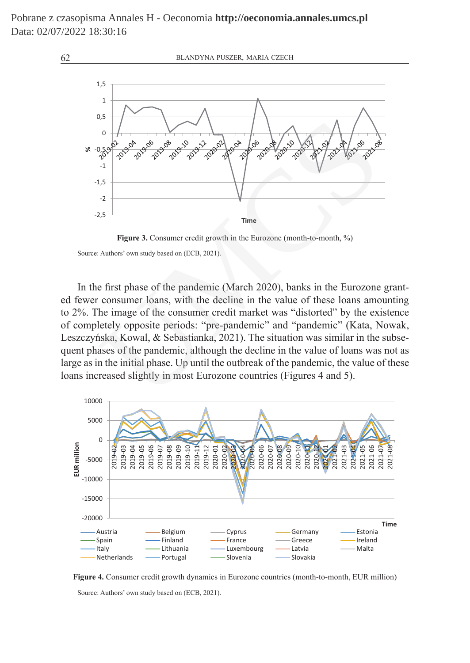

Figure 3. Consumer credit growth in the Eurozone (month-to-month, %)

Source: Authors' own study based on (ECB, 2021).

In the first phase of the pandemic (March 2020), banks in the Eurozone granted fewer consumer loans, with the decline in the value of these loans amounting to 2%. The image of the consumer credit market was "distorted" by the existence of completely opposite periods: "pre-pandemic" and "pandemic" (Kata, Nowak, Leszczyńska, Kowal, & Sebastianka, 2021). The situation was similar in the subsequent phases of the pandemic, although the decline in the value of loans was not as large as in the initial phase. Up until the outbreak of the pandemic, the value of these loans increased slightly in most Eurozone countries (Figures 4 and 5).



**Figure 4.** Consumer credit growth dynamics in Eurozone countries (month-to-month, EUR million) Source: Authors' own study based on (ECB, 2021).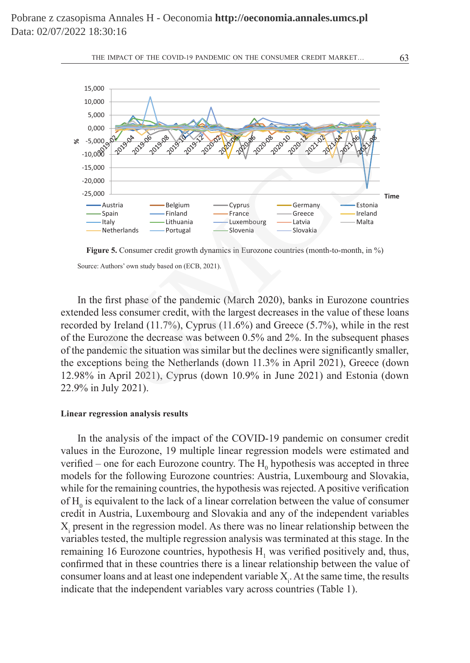



**Figure 5.** Consumer credit growth dynamics in Eurozone countries (month-to-month, in %) Source: Authors' own study based on (ECB, 2021).

In the first phase of the pandemic (March 2020), banks in Eurozone countries extended less consumer credit, with the largest decreases in the value of these loans recorded by Ireland (11.7%), Cyprus (11.6%) and Greece (5.7%), while in the rest of the Eurozone the decrease was between 0.5% and 2%. In the subsequent phases of the pandemic the situation was similar but the declines were significantly smaller, the exceptions being the Netherlands (down 11.3% in April 2021), Greece (down 12.98% in April 2021), Cyprus (down 10.9% in June 2021) and Estonia (down 22.9% in July 2021).

#### **Linear regression analysis results**

In the analysis of the impact of the COVID-19 pandemic on consumer credit values in the Eurozone, 19 multiple linear regression models were estimated and verified – one for each Eurozone country. The  $H_0$  hypothesis was accepted in three models for the following Eurozone countries: Austria, Luxembourg and Slovakia, while for the remaining countries, the hypothesis was rejected. A positive verification of  $H_0$  is equivalent to the lack of a linear correlation between the value of consumer credit in Austria, Luxembourg and Slovakia and any of the independent variables  $X_i$  present in the regression model. As there was no linear relationship between the variables tested, the multiple regression analysis was terminated at this stage. In the remaining 16 Eurozone countries, hypothesis  $H_1$  was verified positively and, thus, confirmed that in these countries there is a linear relationship between the value of consumer loans and at least one independent variable  $X_i$ . At the same time, the results indicate that the independent variables vary across countries (Table 1).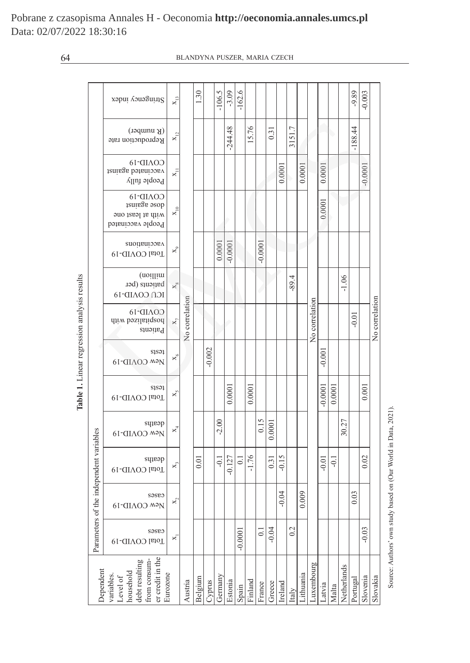|                                                                                        |                  | Stringency index                                                                         | $x_{13}$                  |                | 1.30    |       | $-106.5$ | $-3.09$ | $-162.6$ |           |          |                    |          |                  |           |           |           |                |             | $-9.89$        | $-0.003$       |           |  |          |  |                |      |         |  |  |         |
|----------------------------------------------------------------------------------------|------------------|------------------------------------------------------------------------------------------|---------------------------|----------------|---------|-------|----------|---------|----------|-----------|----------|--------------------|----------|------------------|-----------|-----------|-----------|----------------|-------------|----------------|----------------|-----------|--|----------|--|----------------|------|---------|--|--|---------|
|                                                                                        |                  | $(K$ number)<br>Reproduction rate                                                        | $X_{12}$                  | No correlation |         |       |          |         |          | $-244.48$ |          | 15.76              |          | $\overline{0.3}$ |           | 3151.7    |           |                |             |                |                | $-188.44$ |  |          |  |                |      |         |  |  |         |
|                                                                                        |                  | COVID-19<br>vaccinated against<br>People fully                                           | $\mathbf{x}_{\mathrm{H}}$ |                |         |       |          |         |          |           |          |                    | 0.0001   |                  | 0.0001    |           | 0.0001    |                |             |                | $-0.0001$      |           |  |          |  |                |      |         |  |  |         |
|                                                                                        |                  | $COAID-16$<br>dose against<br>with at least one<br>People vaccinated                     | $x_{10}$                  |                |         |       |          |         |          |           |          |                    |          |                  |           |           |           |                |             |                |                |           |  |          |  | 0.0001         |      |         |  |  |         |
|                                                                                        |                  | vaccinations<br>Total COVID-19                                                           | $\times$                  |                |         |       |          |         |          |           |          |                    |          | 0.0001           | $-0.0001$ |           |           | $-0.0001$      |             |                |                |           |  |          |  |                |      |         |  |  |         |
|                                                                                        |                  | (noillim<br>patients (per<br>ICN COAID-19                                                | $x_{\infty}$              |                |         |       |          |         |          |           |          |                    |          |                  |           |           |           |                |             |                |                |           |  |          |  | $-89.4$        |      |         |  |  | $-1.06$ |
| Table 1. Linear regression analysis results<br>Parameters of the independent variables |                  | $COAID-16$<br>hospitalised with<br>Patients                                              | $\mathbf{x}_\tau$         |                |         |       |          |         |          |           |          |                    |          |                  |           |           |           |                |             | No correlation |                |           |  | $-0.01$  |  | No correlation |      |         |  |  |         |
|                                                                                        |                  | sisəi<br>New COVID-19                                                                    | $\times$                  |                |         |       |          |         |          |           |          |                    | $-0.002$ |                  |           |           |           |                |             |                |                |           |  | $-0.001$ |  |                |      |         |  |  |         |
|                                                                                        |                  | sisəi<br>Total COVID-19                                                                  | $x_{\zeta}$               |                |         |       |          | 0.0001  |          | 0.0001    |          |                    |          |                  |           |           | $-0.0001$ | 0.0001         |             |                | 0.001          |           |  |          |  |                |      |         |  |  |         |
|                                                                                        |                  | deaths<br>New COVID-19                                                                   | $X_4$                     |                |         |       |          |         |          |           |          | $-2.00$            |          |                  |           | 0.15      | 0.0001    |                |             |                |                |           |  | 30.27    |  |                |      |         |  |  |         |
|                                                                                        |                  | deaths<br>Total COVID-19                                                                 | ×,                        |                |         |       |          | 0.01    |          | $-0.1$    | $-0.127$ | $\overline{\circ}$ | $-1.76$  |                  | 0.31      | $-0.15$   |           |                |             | $-0.01$        | $\overline{Q}$ |           |  | 0.02     |  |                |      |         |  |  |         |
|                                                                                        |                  | cases<br>New COVID-19                                                                    | ×,                        |                |         |       |          |         |          |           |          |                    |          |                  |           |           |           |                |             | $-0.04$        |                | 0.009     |  |          |  |                | 0.03 |         |  |  |         |
|                                                                                        |                  | cases<br>Total COVID-19                                                                  | ×,                        |                |         |       |          |         |          |           |          |                    |          |                  |           | $-0.0001$ |           | $\overline{0}$ | $-0.04$     |                | 0.2            |           |  |          |  |                |      | $-0.03$ |  |  |         |
|                                                                                        | <b>Dependent</b> | er credit in the<br>debt resulting<br>from consum-<br>household<br>variables<br>Level of | Eurozone                  | Austria        | Belgium | Sundk | Germany  | Estonia | Spain    | inland    | France   | Greece             | reland   | taly             | ithuania  | uxembourg | Latvia    | Malta          | Netherlands | Portuga        | Slovenia       | Slovakia  |  |          |  |                |      |         |  |  |         |

Source: Authors' own study based on (Our World in Data, 2021). Source: Authors' own study based on (Our World in Data, 2021).

Pobrane z czasopisma Annales H - Oeconomia **http://oeconomia.annales.umcs.pl** Data: 02/07/2022 18:30:16

# 64 BLANDYNA PUSZER, MARIA CZECH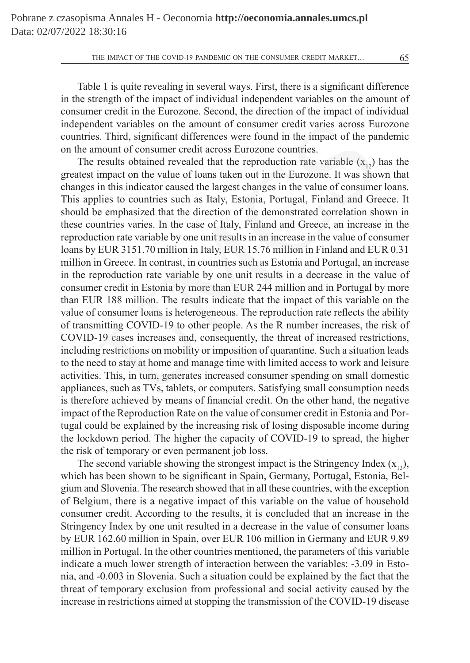Table 1 is quite revealing in several ways. First, there is a significant difference in the strength of the impact of individual independent variables on the amount of consumer credit in the Eurozone. Second, the direction of the impact of individual independent variables on the amount of consumer credit varies across Eurozone countries. Third, significant differences were found in the impact of the pandemic on the amount of consumer credit across Eurozone countries.

The results obtained revealed that the reproduction rate variable  $(x_{12})$  has the greatest impact on the value of loans taken out in the Eurozone. It was shown that changes in this indicator caused the largest changes in the value of consumer loans. This applies to countries such as Italy, Estonia, Portugal, Finland and Greece. It should be emphasized that the direction of the demonstrated correlation shown in these countries varies. In the case of Italy, Finland and Greece, an increase in the reproduction rate variable by one unit results in an increase in the value of consumer loans by EUR 3151.70 million in Italy, EUR 15.76 million in Finland and EUR 0.31 million in Greece. In contrast, in countries such as Estonia and Portugal, an increase in the reproduction rate variable by one unit results in a decrease in the value of consumer credit in Estonia by more than EUR 244 million and in Portugal by more than EUR 188 million. The results indicate that the impact of this variable on the value of consumer loans is heterogeneous. The reproduction rate reflects the ability of transmitting COVID-19 to other people. As the R number increases, the risk of COVID-19 cases increases and, consequently, the threat of increased restrictions, including restrictions on mobility or imposition of quarantine. Such a situation leads to the need to stay at home and manage time with limited access to work and leisure activities. This, in turn, generates increased consumer spending on small domestic appliances, such as TVs, tablets, or computers. Satisfying small consumption needs is therefore achieved by means of financial credit. On the other hand, the negative impact of the Reproduction Rate on the value of consumer credit in Estonia and Portugal could be explained by the increasing risk of losing disposable income during the lockdown period. The higher the capacity of COVID-19 to spread, the higher the risk of temporary or even permanent job loss. lent variables on the amount of consumer credit varies across Eu<br>s. Third, significant differences were found in the impact of the par<br>nount of consumer credit across Eurozone countries.<br>The production rate variable  $(x_{12$ 

The second variable showing the strongest impact is the Stringency Index  $(x_1, y_2)$ , which has been shown to be significant in Spain, Germany, Portugal, Estonia, Belgium and Slovenia. The research showed that in all these countries, with the exception of Belgium, there is a negative impact of this variable on the value of household consumer credit. According to the results, it is concluded that an increase in the Stringency Index by one unit resulted in a decrease in the value of consumer loans by EUR 162.60 million in Spain, over EUR 106 million in Germany and EUR 9.89 million in Portugal. In the other countries mentioned, the parameters of this variable indicate a much lower strength of interaction between the variables: -3.09 in Estonia, and -0.003 in Slovenia. Such a situation could be explained by the fact that the threat of temporary exclusion from professional and social activity caused by the increase in restrictions aimed at stopping the transmission of the COVID-19 disease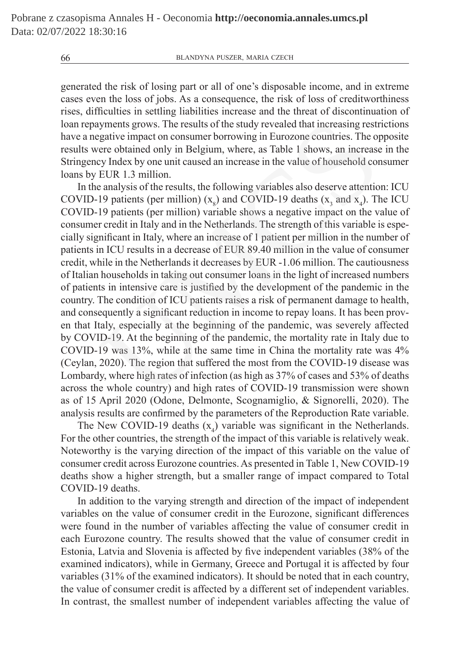generated the risk of losing part or all of one's disposable income, and in extreme cases even the loss of jobs. As a consequence, the risk of loss of creditworthiness rises, difficulties in settling liabilities increase and the threat of discontinuation of loan repayments grows. The results of the study revealed that increasing restrictions have a negative impact on consumer borrowing in Eurozone countries. The opposite results were obtained only in Belgium, where, as Table 1 shows, an increase in the Stringency Index by one unit caused an increase in the value of household consumer loans by EUR 1.3 million.

In the analysis of the results, the following variables also deserve attention: ICU COVID-19 patients (per million)  $(x_g)$  and COVID-19 deaths  $(x_g$  and  $x_4)$ . The ICU COVID-19 patients (per million) variable shows a negative impact on the value of consumer credit in Italy and in the Netherlands. The strength of this variable is especially significant in Italy, where an increase of 1 patient per million in the number of patients in ICU results in a decrease of EUR 89.40 million in the value of consumer credit, while in the Netherlands it decreases by EUR -1.06 million. The cautiousness of Italian households in taking out consumer loans in the light of increased numbers of patients in intensive care is justified by the development of the pandemic in the country. The condition of ICU patients raises a risk of permanent damage to health, and consequently a significant reduction in income to repay loans. It has been proven that Italy, especially at the beginning of the pandemic, was severely affected by COVID-19. At the beginning of the pandemic, the mortality rate in Italy due to COVID-19 was 13%, while at the same time in China the mortality rate was 4% (Ceylan, 2020). The region that suffered the most from the COVID-19 disease was Lombardy, where high rates of infection (as high as 37% of cases and 53% of deaths across the whole country) and high rates of COVID-19 transmission were shown as of 15 April 2020 (Odone, Delmonte, Scognamiglio, & Signorelli, 2020). The analysis results are confirmed by the parameters of the Reproduction Rate variable. lyments grows. The results of the study revealed that increasing restrative impact on consumer borrowing in Eurozone countries. The opere obtained only in Belgium, where, as Table 1 shows, an increase EUR 1.3 million.<br>EUR

The New COVID-19 deaths  $(x_4)$  variable was significant in the Netherlands. For the other countries, the strength of the impact of this variable is relatively weak. Noteworthy is the varying direction of the impact of this variable on the value of consumer credit across Eurozone countries. As presented in Table 1, New COVID-19 deaths show a higher strength, but a smaller range of impact compared to Total COVID-19 deaths.

In addition to the varying strength and direction of the impact of independent variables on the value of consumer credit in the Eurozone, significant differences were found in the number of variables affecting the value of consumer credit in each Eurozone country. The results showed that the value of consumer credit in Estonia, Latvia and Slovenia is affected by five independent variables (38% of the examined indicators), while in Germany, Greece and Portugal it is affected by four variables (31% of the examined indicators). It should be noted that in each country, the value of consumer credit is affected by a different set of independent variables. In contrast, the smallest number of independent variables affecting the value of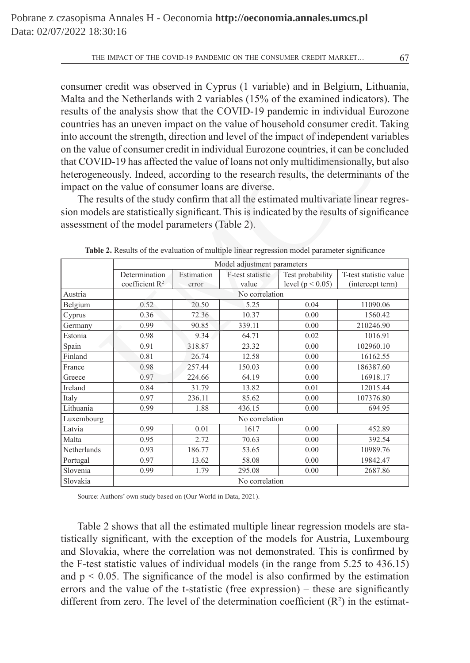consumer credit was observed in Cyprus (1 variable) and in Belgium, Lithuania, Malta and the Netherlands with 2 variables (15% of the examined indicators). The results of the analysis show that the COVID-19 pandemic in individual Eurozone countries has an uneven impact on the value of household consumer credit. Taking into account the strength, direction and level of the impact of independent variables on the value of consumer credit in individual Eurozone countries, it can be concluded that COVID-19 has affected the value of loans not only multidimensionally, but also heterogeneously. Indeed, according to the research results, the determinants of the impact on the value of consumer loans are diverse.

| countries has an uneven impact on the value of household consumer credit. Taking<br>into account the strength, direction and level of the impact of independent variables |                                                                                                                              |        |        |                      |                  |  |  |  |  |  |  |  |  |
|---------------------------------------------------------------------------------------------------------------------------------------------------------------------------|------------------------------------------------------------------------------------------------------------------------------|--------|--------|----------------------|------------------|--|--|--|--|--|--|--|--|
| on the value of consumer credit in individual Eurozone countries, it can be concluded                                                                                     |                                                                                                                              |        |        |                      |                  |  |  |  |  |  |  |  |  |
| that COVID-19 has affected the value of loans not only multidimensionally, but also                                                                                       |                                                                                                                              |        |        |                      |                  |  |  |  |  |  |  |  |  |
| heterogeneously. Indeed, according to the research results, the determinants of the                                                                                       |                                                                                                                              |        |        |                      |                  |  |  |  |  |  |  |  |  |
|                                                                                                                                                                           |                                                                                                                              |        |        |                      |                  |  |  |  |  |  |  |  |  |
| impact on the value of consumer loans are diverse.                                                                                                                        |                                                                                                                              |        |        |                      |                  |  |  |  |  |  |  |  |  |
| The results of the study confirm that all the estimated multivariate linear regres-                                                                                       |                                                                                                                              |        |        |                      |                  |  |  |  |  |  |  |  |  |
| sion models are statistically significant. This is indicated by the results of significance                                                                               |                                                                                                                              |        |        |                      |                  |  |  |  |  |  |  |  |  |
| assessment of the model parameters (Table 2).                                                                                                                             |                                                                                                                              |        |        |                      |                  |  |  |  |  |  |  |  |  |
|                                                                                                                                                                           |                                                                                                                              |        |        |                      |                  |  |  |  |  |  |  |  |  |
|                                                                                                                                                                           |                                                                                                                              |        |        |                      |                  |  |  |  |  |  |  |  |  |
| Table 2. Results of the evaluation of multiple linear regression model parameter significance                                                                             |                                                                                                                              |        |        |                      |                  |  |  |  |  |  |  |  |  |
|                                                                                                                                                                           | Model adjustment parameters<br>Test probability<br>Determination<br>F-test statistic<br>Estimation<br>T-test statistic value |        |        |                      |                  |  |  |  |  |  |  |  |  |
|                                                                                                                                                                           | coefficient R <sup>2</sup>                                                                                                   | error  | value  | level ( $p < 0.05$ ) | (intercept term) |  |  |  |  |  |  |  |  |
| Austria                                                                                                                                                                   | No correlation                                                                                                               |        |        |                      |                  |  |  |  |  |  |  |  |  |
| Belgium                                                                                                                                                                   | 0.52<br>20.50<br>5.25<br>0.04<br>11090.06                                                                                    |        |        |                      |                  |  |  |  |  |  |  |  |  |
| Cyprus                                                                                                                                                                    | 0.36                                                                                                                         | 72.36  | 10.37  | 0.00                 | 1560.42          |  |  |  |  |  |  |  |  |
| Germany                                                                                                                                                                   | 0.99                                                                                                                         | 90.85  | 339.11 | 0.00                 | 210246.90        |  |  |  |  |  |  |  |  |
| Estonia                                                                                                                                                                   | 0.98<br>9.34<br>64.71<br>0.02<br>1016.91                                                                                     |        |        |                      |                  |  |  |  |  |  |  |  |  |
| Spain                                                                                                                                                                     | 23.32<br>102960.10<br>0.91<br>318.87<br>0.00                                                                                 |        |        |                      |                  |  |  |  |  |  |  |  |  |
| Finland                                                                                                                                                                   | 0.81                                                                                                                         | 26.74  | 12.58  | 0.00                 | 16162.55         |  |  |  |  |  |  |  |  |
| France                                                                                                                                                                    | 0.98                                                                                                                         | 257.44 | 150.03 | 0.00                 | 186387.60        |  |  |  |  |  |  |  |  |
| Greece                                                                                                                                                                    | 0.97                                                                                                                         | 224.66 | 64.19  | 0.00                 | 16918.17         |  |  |  |  |  |  |  |  |
| Ireland                                                                                                                                                                   | 0.84                                                                                                                         | 31.79  | 13.82  | 0.01                 | 12015.44         |  |  |  |  |  |  |  |  |
| Italy                                                                                                                                                                     | 0.97                                                                                                                         | 236.11 | 85.62  | 0.00                 | 107376.80        |  |  |  |  |  |  |  |  |
| Lithuania                                                                                                                                                                 | 436.15<br>0.99<br>1.88<br>0.00<br>694.95                                                                                     |        |        |                      |                  |  |  |  |  |  |  |  |  |
| Luxembourg                                                                                                                                                                | No correlation                                                                                                               |        |        |                      |                  |  |  |  |  |  |  |  |  |
| Latvia                                                                                                                                                                    | 0.99                                                                                                                         | 0.01   | 1617   | 0.00                 | 452.89           |  |  |  |  |  |  |  |  |
| Malta<br>2.72<br>392.54<br>0.95<br>70.63<br>0.00                                                                                                                          |                                                                                                                              |        |        |                      |                  |  |  |  |  |  |  |  |  |
| Netherlands<br>0.93<br>186.77<br>53.65<br>0.00<br>10989.76                                                                                                                |                                                                                                                              |        |        |                      |                  |  |  |  |  |  |  |  |  |
| 58.08<br>Portugal<br>0.97<br>13.62<br>0.00<br>19842.47                                                                                                                    |                                                                                                                              |        |        |                      |                  |  |  |  |  |  |  |  |  |
| Slovenia<br>0.99<br>295.08<br>2687.86<br>1.79<br>0.00                                                                                                                     |                                                                                                                              |        |        |                      |                  |  |  |  |  |  |  |  |  |
| Slovakia                                                                                                                                                                  | No correlation                                                                                                               |        |        |                      |                  |  |  |  |  |  |  |  |  |

**Table 2.** Results of the evaluation of multiple linear regression model parameter significance

Source: Authors' own study based on (Our World in Data, 2021).

Table 2 shows that all the estimated multiple linear regression models are statistically significant, with the exception of the models for Austria, Luxembourg and Slovakia, where the correlation was not demonstrated. This is confirmed by the F-test statistic values of individual models (in the range from 5.25 to 436.15) and  $p < 0.05$ . The significance of the model is also confirmed by the estimation errors and the value of the t-statistic (free expression) – these are significantly different from zero. The level of the determination coefficient  $(R<sup>2</sup>)$  in the estimat-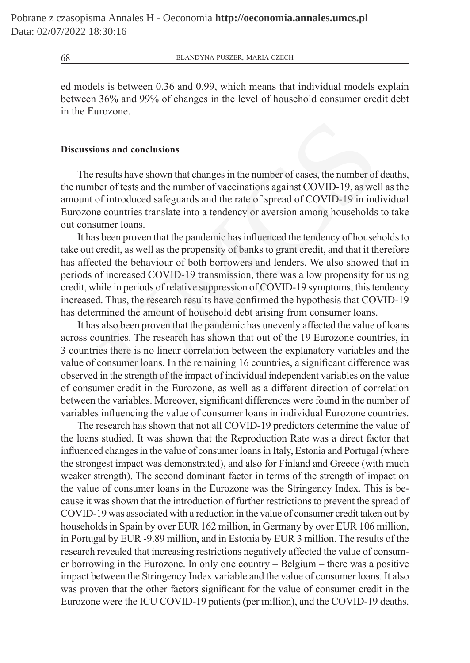ed models is between 0.36 and 0.99, which means that individual models explain between 36% and 99% of changes in the level of household consumer credit debt in the Eurozone.

# **Discussions and conclusions**

The results have shown that changes in the number of cases, the number of deaths, the number of tests and the number of vaccinations against COVID-19, as well as the amount of introduced safeguards and the rate of spread of COVID-19 in individual Eurozone countries translate into a tendency or aversion among households to take out consumer loans.

It has been proven that the pandemic has influenced the tendency of households to take out credit, as well as the propensity of banks to grant credit, and that it therefore has affected the behaviour of both borrowers and lenders. We also showed that in periods of increased COVID-19 transmission, there was a low propensity for using credit, while in periods of relative suppression of COVID-19 symptoms, this tendency increased. Thus, the research results have confirmed the hypothesis that COVID-19 has determined the amount of household debt arising from consumer loans. ons and conclusions<br>results have shown that changes in the number of cases, the number of<br>per of tests and the number of vaccinations against COVID-19, as well<br>of introduced safeguards and the rate of spread of COVID-19 in

It has also been proven that the pandemic has unevenly affected the value of loans across countries. The research has shown that out of the 19 Eurozone countries, in 3 countries there is no linear correlation between the explanatory variables and the value of consumer loans. In the remaining 16 countries, a significant difference was observed in the strength of the impact of individual independent variables on the value of consumer credit in the Eurozone, as well as a different direction of correlation between the variables. Moreover, significant differences were found in the number of variables influencing the value of consumer loans in individual Eurozone countries.

The research has shown that not all COVID-19 predictors determine the value of the loans studied. It was shown that the Reproduction Rate was a direct factor that influenced changes in the value of consumer loans in Italy, Estonia and Portugal (where the strongest impact was demonstrated), and also for Finland and Greece (with much weaker strength). The second dominant factor in terms of the strength of impact on the value of consumer loans in the Eurozone was the Stringency Index. This is because it was shown that the introduction of further restrictions to prevent the spread of COVID-19 was associated with a reduction in the value of consumer credit taken out by households in Spain by over EUR 162 million, in Germany by over EUR 106 million, in Portugal by EUR -9.89 million, and in Estonia by EUR 3 million. The results of the research revealed that increasing restrictions negatively affected the value of consumer borrowing in the Eurozone. In only one country – Belgium – there was a positive impact between the Stringency Index variable and the value of consumer loans. It also was proven that the other factors significant for the value of consumer credit in the Eurozone were the ICU COVID-19 patients (per million), and the COVID-19 deaths.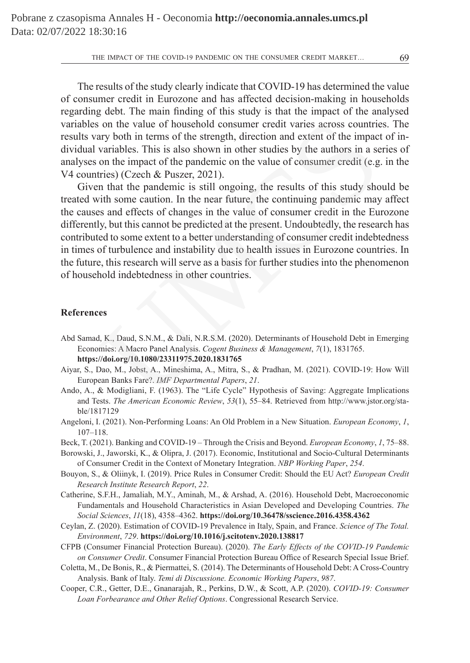THE IMPACT OF THE COVID-19 PANDEMIC ON THE CONSUMER CREDIT MARKET... 69

The results of the study clearly indicate that COVID-19 has determined the value of consumer credit in Eurozone and has affected decision-making in households regarding debt. The main finding of this study is that the impact of the analysed variables on the value of household consumer credit varies across countries. The results vary both in terms of the strength, direction and extent of the impact of individual variables. This is also shown in other studies by the authors in a series of analyses on the impact of the pandemic on the value of consumer credit (e.g. in the V4 countries) (Czech & Puszer, 2021).

Given that the pandemic is still ongoing, the results of this study should be treated with some caution. In the near future, the continuing pandemic may affect the causes and effects of changes in the value of consumer credit in the Eurozone differently, but this cannot be predicted at the present. Undoubtedly, the research has contributed to some extent to a better understanding of consumer credit indebtedness in times of turbulence and instability due to health issues in Eurozone countries. In the future, this research will serve as a basis for further studies into the phenomenon of household indebtedness in other countries. is on the value of household consumer credit varies across countrieary both in terms of the strength, direction and extent of the impact variables. This is also shown in other studies by the authors in a set on the impact

#### **References**

- Abd Samad, K., Daud, S.N.M., & Dali, N.R.S.M. (2020). Determinants of Household Debt in Emerging Economies: A Macro Panel Analysis. *Cogent Business & Management*, *7*(1), 1831765. **https://doi.org/10.1080/23311975.2020.1831765**
- Aiyar, S., Dao, M., Jobst, A., Mineshima, A., Mitra, S., & Pradhan, M. (2021). COVID-19: How Will European Banks Fare?. *IMF Departmental Papers*, *21*.
- Ando, A., & Modigliani, F. (1963). The "Life Cycle" Hypothesis of Saving: Aggregate Implications and Tests. *The American Economic Review*, *53*(1), 55–84. Retrieved from http://www.jstor.org/stable/1817129
- Angeloni, I. (2021). Non-Performing Loans: An Old Problem in a New Situation. *European Economy*, *1*, 107–118.
- Beck, T. (2021). Banking and COVID-19 Through the Crisis and Beyond. *European Economy*, *1*, 75–88.
- Borowski, J., Jaworski, K., & Olipra, J. (2017). Economic, Institutional and Socio-Cultural Determinants of Consumer Credit in the Context of Monetary Integration. *NBP Working Paper*, *254*.
- Bouyon, S., & Oliinyk, I. (2019). Price Rules in Consumer Credit: Should the EU Act? *European Credit Research Institute Research Report*, *22*.
- Catherine, S.F.H., Jamaliah, M.Y., Aminah, M., & Arshad, A. (2016). Household Debt, Macroeconomic Fundamentals and Household Characteristics in Asian Developed and Developing Countries. *The Social Sciences*, *11*(18), 4358–4362. **https://doi.org/10.36478/sscience.2016.4358.4362**
- Ceylan, Z. (2020). Estimation of COVID-19 Prevalence in Italy, Spain, and France. *Science of The Total. Environment*, *729*. **https://doi.org/10.1016/j.scitotenv.2020.138817**
- CFPB (Consumer Financial Protection Bureau). (2020). *The Early Effects of the COVID-19 Pandemic on Consumer Credit*. Consumer Financial Protection Bureau Office of Research Special Issue Brief.
- Coletta, M., De Bonis, R., & Piermattei, S. (2014). The Determinants of Household Debt: A Cross-Country Analysis. Bank of Italy. *Temi di Discussione. Economic Working Papers*, *987*.
- Cooper, C.R., Getter, D.E., Gnanarajah, R., Perkins, D.W., & Scott, A.P. (2020). *COVID-19: Consumer Loan Forbearance and Other Relief Options*. Congressional Research Service.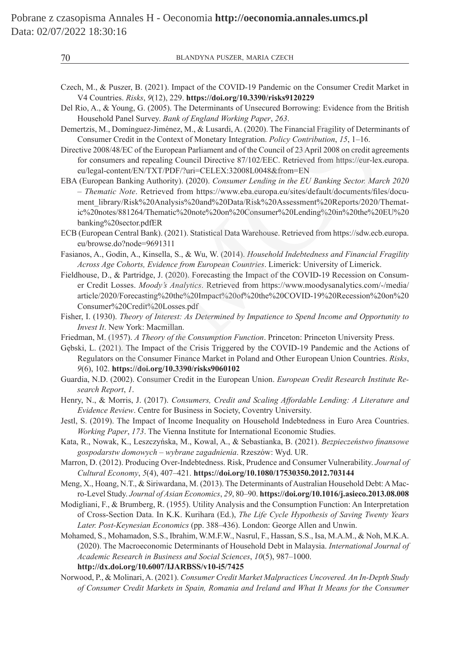- Czech, M., & Puszer, B. (2021). Impact of the COVID-19 Pandemic on the Consumer Credit Market in V4 Countries. *Risks*, *9*(12), 229. **https://doi.org/10.3390/risks9120229**
- Del Rio, A., & Young, G. (2005). The Determinants of Unsecured Borrowing: Evidence from the British Household Panel Survey. *Bank of England Working Paper*, *263*.
- Demertzis, M., Domínguez-Jiménez, M., & Lusardi, A. (2020). The Financial Fragility of Determinants of Consumer Credit in the Context of Monetary Integration. *Policy Contribution*, *15*, 1–16.
- Directive 2008/48/EC of the European Parliament and of the Council of 23 April 2008 on credit agreements for consumers and repealing Council Directive 87/102/EEC. Retrieved from https://eur-lex.europa. eu/legal-content/EN/TXT/PDF/?uri=CELEX:32008L0048&from=EN
- EBA (European Banking Authority). (2020). *Consumer Lending in the EU Banking Sector. March 2020 – Thematic Note*. Retrieved from https://www.eba.europa.eu/sites/default/documents/files/document\_library/Risk%20Analysis%20and%20Data/Risk%20Assessment%20Reports/2020/Thematic%20notes/881264/Thematic%20note%20on%20Consumer%20Lending%20in%20the%20EU%20 banking%20sector.pdfER monet Sturey. Dank of praguan *norking Praper*, 200.<br>M., Dominguez-Jiménez, M., & Lusardi, A. (2020). The Financial Fragility of Determ<br>mer Credit in the Context of Monetary Integration. *Policy Contribution*, 15, 1–16.<br>M.
- ECB (European Central Bank). (2021). Statistical Data Warehouse. Retrieved from https://sdw.ecb.europa. eu/browse.do?node=9691311
- Fasianos, A., Godin, A., Kinsella, S., & Wu, W. (2014). *Household Indebtedness and Financial Fragility Across Age Cohorts, Evidence from European Countries*. Limerick: University of Limerick.
- Fieldhouse, D., & Partridge, J. (2020). Forecasting the Impact of the COVID-19 Recession on Consumer Credit Losses. *Moody's Analytics*. Retrieved from https://www.moodysanalytics.com/-/media/ article/2020/Forecasting%20the%20Impact%20of%20the%20COVID-19%20Recession%20on%20 Consumer%20Credit%20Losses.pdf
- Fisher, I. (1930). *Theory of Interest: As Determined by Impatience to Spend Income and Opportunity to Invest It*. New York: Macmillan.
- Friedman, M. (1957). *A Theory of the Consumption Function*. Princeton: Princeton University Press.
- Gębski, L. (2021). The Impact of the Crisis Triggered by the COVID-19 Pandemic and the Actions of Regulators on the Consumer Finance Market in Poland and Other European Union Countries. *Risks*, *9*(6), 102. **https://doi.org/10.3390/risks9060102**
- Guardia, N.D. (2002). Consumer Credit in the European Union. *European Credit Research Institute Research Report*, *1*.
- Henry, N., & Morris, J. (2017). *Consumers, Credit and Scaling Affordable Lending: A Literature and Evidence Review*. Centre for Business in Society, Coventry University.
- Jestl, S. (2019). The Impact of Income Inequality on Household Indebtedness in Euro Area Countries. *Working Paper*, *173*. The Vienna Institute for International Economic Studies.
- Kata, R., Nowak, K., Leszczyńska, M., Kowal, A., & Sebastianka, B. (2021). *Bezpieczeństwo finansowe gospodarstw domowych – wybrane zagadnienia*. Rzeszów: Wyd. UR.
- Marron, D. (2012). Producing Over-Indebtedness. Risk, Prudence and Consumer Vulnerability. *Journal of Cultural Economy*, *5*(4), 407–421. **https://doi.org/10.1080/17530350.2012.703144**
- Meng, X., Hoang, N.T., & Siriwardana, M. (2013). The Determinants of Australian Household Debt: AMacro-Level Study. *Journal of Asian Economics*, *29*, 80–90. **https://doi.org/10.1016/j.asieco.2013.08.008**
- Modigliani, F., & Brumberg, R. (1955). Utility Analysis and the Consumption Function: An Interpretation of Cross-Section Data. In K.K. Kurihara (Ed.), *The Life Cycle Hypothesis of Saving Twenty Years Later. Post-Keynesian Economics* (pp. 388–436). London: George Allen and Unwin.
- Mohamed, S., Mohamadon, S.S., Ibrahim, W.M.F.W., Nasrul, F., Hassan, S.S., Isa, M.A.M., & Noh, M.K.A. (2020). The Macroeconomic Determinants of Household Debt in Malaysia. *International Journal of Academic Research in Business and Social Sciences*, *10*(5), 987–1000. **http://dx.doi.org/10.6007/IJARBSS/v10-i5/7425**
- Norwood, P., & Molinari, A. (2021). *Consumer Credit Market Malpractices Uncovered. An In-Depth Study of Consumer Credit Markets in Spain, Romania and Ireland and What It Means for the Consumer*